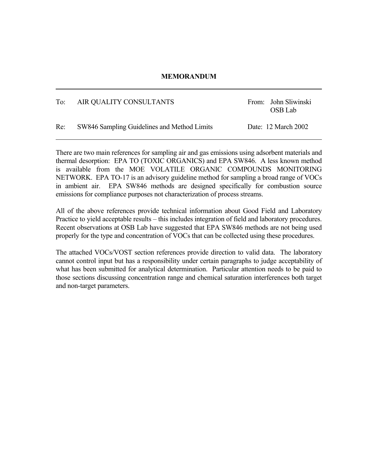## **MEMORANDUM**

## To: AIR QUALITY CONSULTANTS From: John Sliwinski OSB Lab Re: SW846 Sampling Guidelines and Method Limits Date: 12 March 2002

There are two main references for sampling air and gas emissions using adsorbent materials and thermal desorption: EPA TO (TOXIC ORGANICS) and EPA SW846. A less known method is available from the MOE VOLATILE ORGANIC COMPOUNDS MONITORING NETWORK. EPA TO-17 is an advisory guideline method for sampling a broad range of VOCs in ambient air. EPA SW846 methods are designed specifically for combustion source emissions for compliance purposes not characterization of process streams.

All of the above references provide technical information about Good Field and Laboratory Practice to yield acceptable results – this includes integration of field and laboratory procedures. Recent observations at OSB Lab have suggested that EPA SW846 methods are not being used properly for the type and concentration of VOCs that can be collected using these procedures.

The attached VOCs/VOST section references provide direction to valid data. The laboratory cannot control input but has a responsibility under certain paragraphs to judge acceptability of what has been submitted for analytical determination. Particular attention needs to be paid to those sections discussing concentration range and chemical saturation interferences both target and non-target parameters.